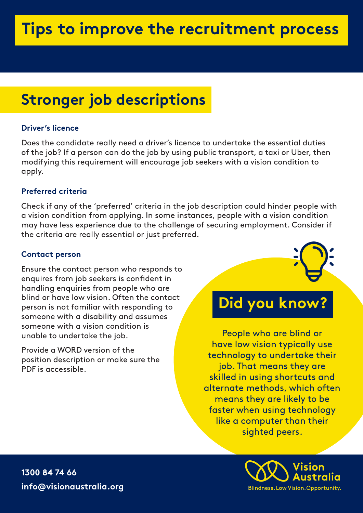# **Stronger job descriptions**

### **Driver's licence**

Does the candidate really need a driver's licence to undertake the essential duties of the job? If a person can do the job by using public transport, a taxi or Uber, then modifying this requirement will encourage job seekers with a vision condition to apply.

## **Preferred criteria**

Check if any of the 'preferred' criteria in the job description could hinder people with a vision condition from applying. In some instances, people with a vision condition may have less experience due to the challenge of securing employment. Consider if the criteria are really essential or just preferred.

### **Contact person**

Ensure the contact person who responds to enquires from job seekers is confident in handling enquiries from people who are blind or have low vision. Often the contact person is not familiar with responding to someone with a disability and assumes someone with a vision condition is unable to undertake the job.

Provide a WORD version of the position description or make sure the PDF is accessible.



# **Did you know?**

People who are blind or have low vision typically use technology to undertake their job. That means they are skilled in using shortcuts and alternate methods, which often means they are likely to be faster when using technology like a computer than their sighted peers.



**1300 84 74 66 info@visionaustralia.org**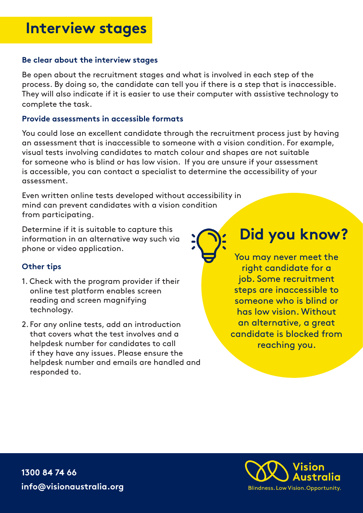# **Interview stages**

#### **Be clear about the interview stages**

Be open about the recruitment stages and what is involved in each step of the process. By doing so, the candidate can tell you if there is a step that is inaccessible. They will also indicate if it is easier to use their computer with assistive technology to complete the task.

#### **Provide assessments in accessible formats**

You could lose an excellent candidate through the recruitment process just by having an assessment that is inaccessible to someone with a vision condition. For example, visual tests involving candidates to match colour and shapes are not suitable for someone who is blind or has low vision. If you are unsure if your assessment is accessible, you can contact a specialist to determine the accessibility of your assessment.

Even written online tests developed without accessibility in mind can prevent candidates with a vision condition from participating.

Determine if it is suitable to capture this information in an alternative way such via phone or video application.

### **Other tips**

- 1. Check with the program provider if their online test platform enables screen reading and screen magnifying technology.
- 2. For any online tests, add an introduction that covers what the test involves and a helpdesk number for candidates to call if they have any issues. Please ensure the helpdesk number and emails are handled and responded to.

**Did you know?**

You may never meet the right candidate for a job. Some recruitment steps are inaccessible to someone who is blind or has low vision. Without an alternative, a great candidate is blocked from reaching you.